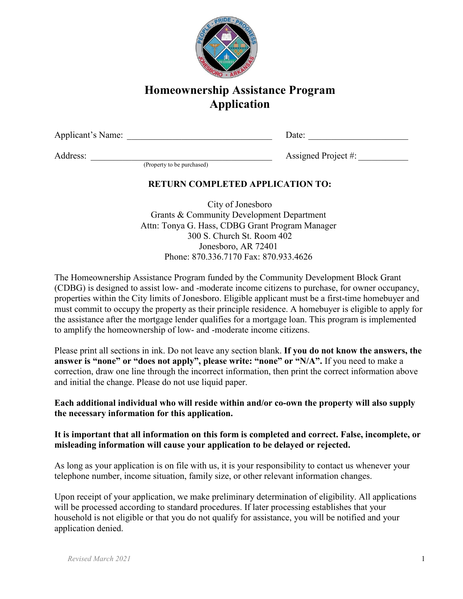

# **Homeownership Assistance Program Application**

Applicant's Name: <u>Date:</u> Equation of Date:

Address: \_\_\_\_\_\_\_\_\_\_\_\_\_\_\_\_\_\_\_\_\_\_\_\_\_\_\_\_\_\_\_\_\_\_\_\_\_\_\_\_ Assigned Project #: \_\_\_\_\_\_\_\_\_\_\_ (Property to be purchased)

## **RETURN COMPLETED APPLICATION TO:**

City of Jonesboro Grants & Community Development Department Attn: Tonya G. Hass, CDBG Grant Program Manager 300 S. Church St. Room 402 Jonesboro, AR 72401 Phone: 870.336.7170 Fax: 870.933.4626

The Homeownership Assistance Program funded by the Community Development Block Grant (CDBG) is designed to assist low- and -moderate income citizens to purchase, for owner occupancy, properties within the City limits of Jonesboro. Eligible applicant must be a first-time homebuyer and must commit to occupy the property as their principle residence. A homebuyer is eligible to apply for the assistance after the mortgage lender qualifies for a mortgage loan. This program is implemented to amplify the homeownership of low- and -moderate income citizens.

Please print all sections in ink. Do not leave any section blank. **If you do not know the answers, the**  answer is "none" or "does not apply", please write: "none" or "N/A". If you need to make a correction, draw one line through the incorrect information, then print the correct information above and initial the change. Please do not use liquid paper.

### **Each additional individual who will reside within and/or co-own the property will also supply the necessary information for this application.**

### **It is important that all information on this form is completed and correct. False, incomplete, or misleading information will cause your application to be delayed or rejected.**

As long as your application is on file with us, it is your responsibility to contact us whenever your telephone number, income situation, family size, or other relevant information changes.

Upon receipt of your application, we make preliminary determination of eligibility. All applications will be processed according to standard procedures. If later processing establishes that your household is not eligible or that you do not qualify for assistance, you will be notified and your application denied.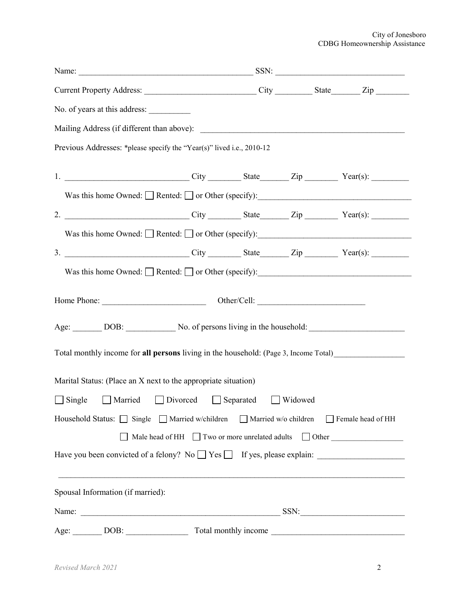#### City of Jonesboro CDBG Homeownership Assistance

| Current Property Address: _______________________________City ____________State________Zip _________           |  |  |
|----------------------------------------------------------------------------------------------------------------|--|--|
| No. of years at this address:                                                                                  |  |  |
|                                                                                                                |  |  |
| Previous Addresses: *please specify the "Year(s)" lived i.e., 2010-12                                          |  |  |
| 1. ________________________________City ___________State_________Zip ___________Year(s): ___________           |  |  |
| Was this home Owned: $\Box$ Rented: $\Box$ or Other (specify): $\Box$                                          |  |  |
| 2. _______________________________City ___________State _________Zip ____________Year(s): __________           |  |  |
|                                                                                                                |  |  |
|                                                                                                                |  |  |
|                                                                                                                |  |  |
|                                                                                                                |  |  |
| Age: DOB: No. of persons living in the household: DOB: No. of persons living in the household:                 |  |  |
| Total monthly income for all persons living in the household: (Page 3, Income Total)________________           |  |  |
| Marital Status: (Place an X next to the appropriate situation)                                                 |  |  |
| □ Single □ Married □ Divorced □ Separated □ Widowed                                                            |  |  |
| Household Status: $\Box$ Single $\Box$ Married w/children $\Box$ Married w/o children $\Box$ Female head of HH |  |  |
| □ Male head of HH □ Two or more unrelated adults □ Other                                                       |  |  |
|                                                                                                                |  |  |
| Spousal Information (if married):                                                                              |  |  |
|                                                                                                                |  |  |
|                                                                                                                |  |  |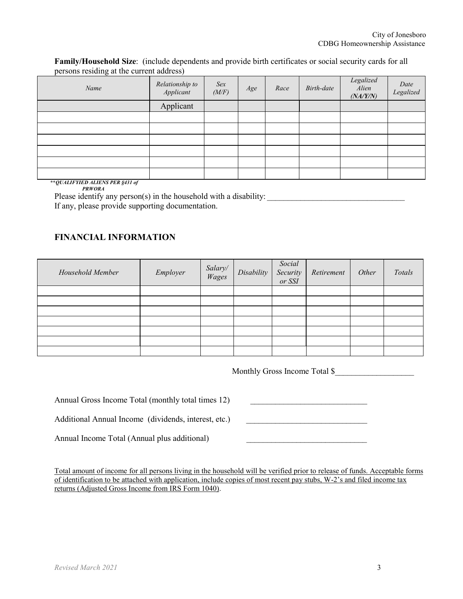**Family/Household Size**: (include dependents and provide birth certificates or social security cards for all persons residing at the current address)

| $\circ$<br>Name | Relationship to<br>Applicant | Sex<br>(M/F) | Age | Race | Birth-date | $\label{eq:legalized} Legend$<br>Alien<br>(NA/Y/N) | Date<br>Legalized |
|-----------------|------------------------------|--------------|-----|------|------------|----------------------------------------------------|-------------------|
|                 | Applicant                    |              |     |      |            |                                                    |                   |
|                 |                              |              |     |      |            |                                                    |                   |
|                 |                              |              |     |      |            |                                                    |                   |
|                 |                              |              |     |      |            |                                                    |                   |
|                 |                              |              |     |      |            |                                                    |                   |
|                 |                              |              |     |      |            |                                                    |                   |
|                 |                              |              |     |      |            |                                                    |                   |

**\*\****QUALIFYIED ALIENS PER §431 of PRWORA*

Please identify any person(s) in the household with a disability:

If any, please provide supporting documentation.

### **FINANCIAL INFORMATION**

| Household Member | Employer | Salary/<br>Wages | Disability | Social<br>Security<br>or SSI | Retirement | Other | Totals |
|------------------|----------|------------------|------------|------------------------------|------------|-------|--------|
|                  |          |                  |            |                              |            |       |        |
|                  |          |                  |            |                              |            |       |        |
|                  |          |                  |            |                              |            |       |        |
|                  |          |                  |            |                              |            |       |        |
|                  |          |                  |            |                              |            |       |        |
|                  |          |                  |            |                              |            |       |        |
|                  |          |                  |            |                              |            |       |        |

Monthly Gross Income Total \$\_\_\_\_\_\_\_\_\_\_\_\_\_\_\_\_\_\_\_

Annual Gross Income Total (monthly total times 12)

Additional Annual Income (dividends, interest, etc.)

Annual Income Total (Annual plus additional)

Total amount of income for all persons living in the household will be verified prior to release of funds. Acceptable forms of identification to be attached with application, include copies of most recent pay stubs, W-2's and filed income tax returns (Adjusted Gross Income from IRS Form 1040).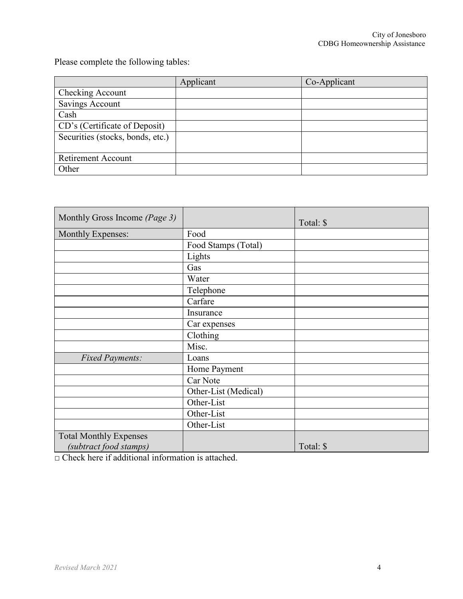Please complete the following tables:

|                                  | Applicant | Co-Applicant |
|----------------------------------|-----------|--------------|
| Checking Account                 |           |              |
| <b>Savings Account</b>           |           |              |
| Cash                             |           |              |
| CD's (Certificate of Deposit)    |           |              |
| Securities (stocks, bonds, etc.) |           |              |
|                                  |           |              |
| <b>Retirement Account</b>        |           |              |
| Other                            |           |              |

| Monthly Gross Income (Page 3) |                      | Total: \$ |
|-------------------------------|----------------------|-----------|
| <b>Monthly Expenses:</b>      | Food                 |           |
|                               | Food Stamps (Total)  |           |
|                               | Lights               |           |
|                               | Gas                  |           |
|                               | Water                |           |
|                               | Telephone            |           |
|                               | Carfare              |           |
|                               | Insurance            |           |
|                               | Car expenses         |           |
|                               | Clothing             |           |
|                               | Misc.                |           |
| <b>Fixed Payments:</b>        | Loans                |           |
|                               | Home Payment         |           |
|                               | Car Note             |           |
|                               | Other-List (Medical) |           |
|                               | Other-List           |           |
|                               | Other-List           |           |
|                               | Other-List           |           |
| <b>Total Monthly Expenses</b> |                      |           |
| (subtract food stamps)        |                      | Total: \$ |

□ Check here if additional information is attached.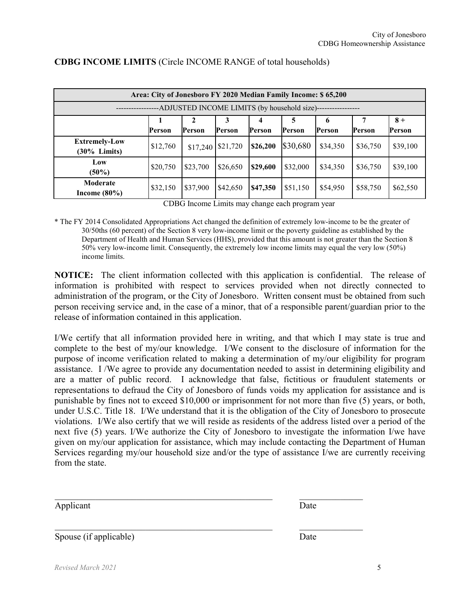| Area: City of Jonesboro FY 2020 Median Family Income: \$65,200 |          |                     |          |          |          |          |          |          |
|----------------------------------------------------------------|----------|---------------------|----------|----------|----------|----------|----------|----------|
| -ADJUSTED INCOME LIMITS (by household size)---                 |          |                     |          |          |          |          |          |          |
|                                                                |          |                     | 3        |          | 5        | 0        |          | $8+$     |
|                                                                | Person   | Person              | Person   | Person   | Person   | Person   | Person   | Person   |
| <b>Extremely-Low</b><br>$(30\%$ Limits)                        | \$12,760 | $$17,240$ $$21,720$ |          | \$26,200 | \$30,680 | \$34,350 | \$36,750 | \$39,100 |
| Low<br>$(50\%)$                                                | \$20,750 | \$23,700            | \$26,650 | \$29,600 | \$32,000 | \$34,350 | \$36,750 | \$39,100 |
| Moderate<br>Income $(80\%)$                                    | \$32,150 | \$37,900            | \$42,650 | \$47,350 | \$51,150 | \$54,950 | \$58,750 | \$62,550 |

### **CDBG INCOME LIMITS** (Circle INCOME RANGE of total households)

CDBG Income Limits may change each program year

\* The FY 2014 Consolidated Appropriations Act changed the definition of extremely low-income to be the greater of 30/50ths (60 percent) of the Section 8 very low-income limit or the poverty guideline as [established](https://www.federalregister.gov/articles/2016/01/25/2016-01450/annual-update-of-the-hhs-poverty-guidelines) by the [Department](https://www.federalregister.gov/articles/2016/01/25/2016-01450/annual-update-of-the-hhs-poverty-guidelines) of Health and Human Services (HHS), provided that this amount is not greater than the Section 8 50% very low-income limit. Consequently, the extremely low income limits may equal the very low (50%) income limits.

**NOTICE:** The client information collected with this application is confidential. The release of information is prohibited with respect to services provided when not directly connected to administration of the program, or the City of Jonesboro. Written consent must be obtained from such person receiving service and, in the case of a minor, that of a responsible parent/guardian prior to the release of information contained in this application.

I/We certify that all information provided here in writing, and that which I may state is true and complete to the best of my/our knowledge. I/We consent to the disclosure of information for the purpose of income verification related to making a determination of my/our eligibility for program assistance. I /We agree to provide any documentation needed to assist in determining eligibility and are a matter of public record. I acknowledge that false, fictitious or fraudulent statements or representations to defraud the City of Jonesboro of funds voids my application for assistance and is punishable by fines not to exceed \$10,000 or imprisonment for not more than five (5) years, or both, under U.S.C. Title 18. I/We understand that it is the obligation of the City of Jonesboro to prosecute violations. I/We also certify that we will reside as residents of the address listed over a period of the next five (5) years. I/We authorize the City of Jonesboro to investigate the information I/we have given on my/our application for assistance, which may include contacting the Department of Human Services regarding my/our household size and/or the type of assistance I/we are currently receiving from the state.

 $\mathcal{L}=\frac{1}{2}\sum_{i=1}^{n} \frac{1}{2} \sum_{i=1}^{n} \frac{1}{2} \sum_{i=1}^{n} \frac{1}{2} \sum_{i=1}^{n} \frac{1}{2} \sum_{i=1}^{n} \frac{1}{2} \sum_{i=1}^{n} \frac{1}{2} \sum_{i=1}^{n} \frac{1}{2} \sum_{i=1}^{n} \frac{1}{2} \sum_{i=1}^{n} \frac{1}{2} \sum_{i=1}^{n} \frac{1}{2} \sum_{i=1}^{n} \frac{1}{2} \sum_{i=1}^{n} \frac{1}{2} \sum_{i$  Date  $\mathcal{L}_\text{G}$ Applicant Spouse (if applicable) Date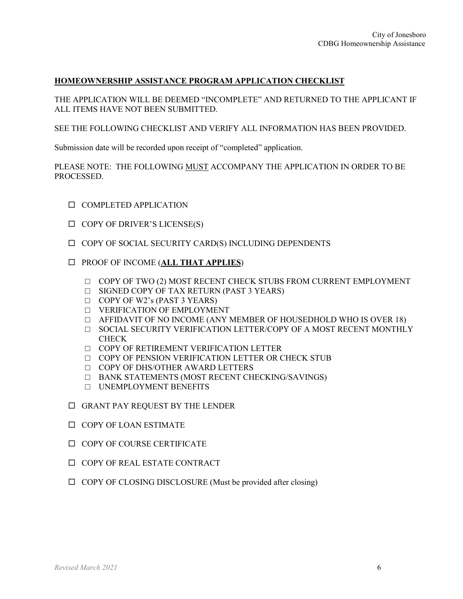### **HOMEOWNERSHIP ASSISTANCE PROGRAM APPLICATION CHECKLIST**

THE APPLICATION WILL BE DEEMED "INCOMPLETE" AND RETURNED TO THE APPLICANT IF ALL ITEMS HAVE NOT BEEN SUBMITTED.

SEE THE FOLLOWING CHECKLIST AND VERIFY ALL INFORMATION HAS BEEN PROVIDED.

Submission date will be recorded upon receipt of "completed" application.

PLEASE NOTE: THE FOLLOWING MUST ACCOMPANY THE APPLICATION IN ORDER TO BE PROCESSED.

- $\square$  COMPLETED APPLICATION
- $\Box$  COPY OF DRIVER'S LICENSE(S)
- $\Box$  COPY OF SOCIAL SECURITY CARD(S) INCLUDING DEPENDENTS
- PROOF OF INCOME (**ALL THAT APPLIES**)
	- $\Box$  COPY OF TWO (2) MOST RECENT CHECK STUBS FROM CURRENT EMPLOYMENT
	- □ SIGNED COPY OF TAX RETURN (PAST 3 YEARS)
	- □ COPY OF W2's (PAST 3 YEARS)
	- □ VERIFICATION OF EMPLOYMENT
	- □ AFFIDAVIT OF NO INCOME (ANY MEMBER OF HOUSEDHOLD WHO IS OVER 18)
	- □ SOCIAL SECURITY VERIFICATION LETTER/COPY OF A MOST RECENT MONTHLY **CHECK**
	- □ COPY OF RETIREMENT VERIFICATION LETTER
	- □ COPY OF PENSION VERIFICATION LETTER OR CHECK STUB
	- □ COPY OF DHS/OTHER AWARD LETTERS
	- □ BANK STATEMENTS (MOST RECENT CHECKING/SAVINGS)
	- □ UNEMPLOYMENT BENEFITS
- GRANT PAY REQUEST BY THE LENDER
- $\square$  COPY OF LOAN ESTIMATE
- $\square$  COPY OF COURSE CERTIFICATE
- $\Box$  COPY OF REAL ESTATE CONTRACT
- $\Box$  COPY OF CLOSING DISCLOSURE (Must be provided after closing)